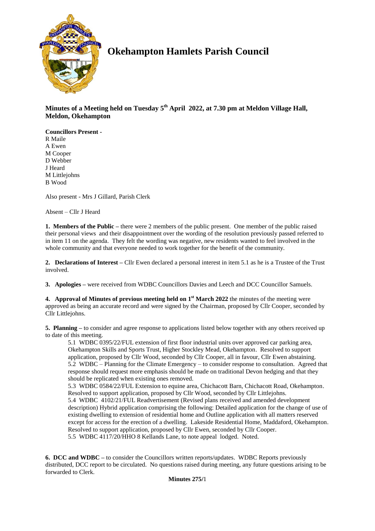

# **Okehampton Hamlets Parish Council**

**Minutes of a Meeting held on Tuesday 5 th April 2022, at 7.30 pm at Meldon Village Hall, Meldon, Okehampton**

**Councillors Present -** R Maile A Ewen M Cooper D Webber J Heard M Littlejohns B Wood

Also present - Mrs J Gillard, Parish Clerk

Absent – Cllr J Heard

**1. Members of the Public –** there were 2 members of the public present. One member of the public raised their personal views and their disappointment over the wording of the resolution previously passed referred to in item 11 on the agenda. They felt the wording was negative, new residents wanted to feel involved in the whole community and that everyone needed to work together for the benefit of the community.

**2. Declarations of Interest –** Cllr Ewen declared a personal interest in item 5.1 as he is a Trustee of the Trust involved.

**3. Apologies –** were received from WDBC Councillors Davies and Leech and DCC Councillor Samuels.

**4.** Approval of Minutes of previous meeting held on 1<sup>st</sup> March 2022 the minutes of the meeting were approved as being an accurate record and were signed by the Chairman, proposed by Cllr Cooper, seconded by Cllr Littlejohns.

**5. Planning –** to consider and agree response to applications listed below together with any others received up to date of this meeting.

5.1 WDBC 0395/22/FUL extension of first floor industrial units over approved car parking area, Okehampton Skills and Sports Trust, Higher Stockley Mead, Okehampton. Resolved to support application, proposed by Cllr Wood, seconded by Cllr Cooper, all in favour, Cllr Ewen abstaining. 5.2 WDBC – Planning for the Climate Emergency – to consider response to consultation. Agreed that response should request more emphasis should be made on traditional Devon hedging and that they should be replicated when existing ones removed.

5.3 WDBC 0584/22/FUL Extension to equine area, Chichacott Barn, Chichacott Road, Okehampton. Resolved to support application, proposed by Cllr Wood, seconded by Cllr Littlejohns. 5.4 WDBC 4102/21/FUL Readvertisement (Revised plans received and amended development description) Hybrid application comprising the following: Detailed application for the change of use of existing dwelling to extension of residential home and Outline application with all matters reserved except for access for the erection of a dwelling. Lakeside Residential Home, Maddaford, Okehampton. Resolved to support application, proposed by Cllr Ewen, seconded by Cllr Cooper. 5.5 WDBC 4117/20/HHO 8 Kellands Lane, to note appeal lodged. Noted.

**6. DCC and WDBC –** to consider the Councillors written reports/updates. WDBC Reports previously distributed, DCC report to be circulated. No questions raised during meeting, any future questions arising to be forwarded to Clerk.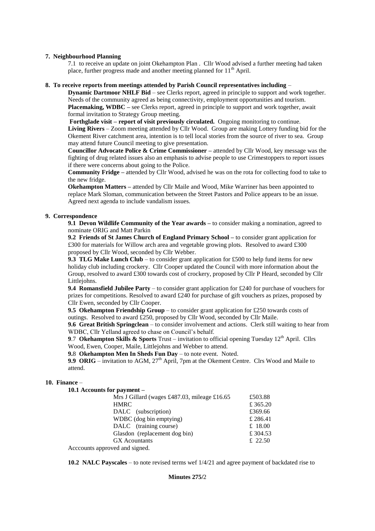#### **7. Neighbourhood Planning**

7.1 to receive an update on joint Okehampton Plan . Cllr Wood advised a further meeting had taken place, further progress made and another meeting planned for  $11<sup>th</sup>$  April.

## **8. To receive reports from meetings attended by Parish Council representatives including** –

**Dynamic Dartmoor NHLF Bid** – see Clerks report, agreed in principle to support and work together. Needs of the community agreed as being connectivity, employment opportunities and tourism. **Placemaking, WDBC –** see Clerks report, agreed in principle to support and work together, await formal invitation to Strategy Group meeting.

**Forthglade visit – report of visit previously circulated.** Ongoing monitoring to continue. **Living Rivers** – Zoom meeting attended by Cllr Wood. Group are making Lottery funding bid for the Okement River catchment area, intention is to tell local stories from the source of river to sea. Group may attend future Council meeting to give presentation.

**Councillor Advocate Police & Crime Commissioner –** attended by Cllr Wood, key message was the fighting of drug related issues also an emphasis to advise people to use Crimestoppers to report issues if there were concerns about going to the Police.

**Community Fridge –** attended by Cllr Wood, advised he was on the rota for collecting food to take to the new fridge.

**Okehampton Matters –** attended by Cllr Maile and Wood, Mike Warriner has been appointed to replace Mark Sloman, communication between the Street Pastors and Police appears to be an issue. Agreed next agenda to include vandalism issues.

## **9. Correspondence**

**9.1 Devon Wildlife Community of the Year awards –** to consider making a nomination, agreed to nominate ORIG and Matt Parkin

**9.2 Friends of St James Church of England Primary School –** to consider grant application for £300 for materials for Willow arch area and vegetable growing plots. Resolved to award £300 proposed by Cllr Wood, seconded by Cllr Webber.

**9.3 TLG Make Lunch Club** – to consider grant application for £500 to help fund items for new holiday club including crockery. Cllr Cooper updated the Council with more information about the Group, resolved to award £300 towards cost of crockery, proposed by Cllr P Heard, seconded by Cllr Littlejohns.

**9.4 Romansfield Jubilee Party** – to consider grant application for £240 for purchase of vouchers for prizes for competitions. Resolved to award £240 for purchase of gift vouchers as prizes, proposed by Cllr Ewen, seconded by Cllr Cooper.

**9.5 Okehampton Friendship Group** – to consider grant application for £250 towards costs of outings. Resolved to award £250, proposed by Cllr Wood, seconded by Cllr Maile.

**9.6 Great British Springclean** – to consider involvement and actions. Clerk still waiting to hear from WDBC, Cllr Yelland agreed to chase on Council's behalf.

**9.7 Okehampton Skills & Sports** Trust – invitation to official opening Tuesday  $12<sup>th</sup>$  April. Cllrs Wood, Ewen, Cooper, Maile, Littlejohns and Webber to attend.

**9.**8 **Okehampton Men In Sheds Fun Day** – to note event. Noted.

**9.9 ORIG** – invitation to AGM, 27<sup>th</sup> April, 7pm at the Okement Centre. Clrs Wood and Maile to attend.

# **10. Finance** –

**10.1 Accounts for payment –**

| Mrs J Gillard (wages £487.03, mileage £16.65 | £503.88  |
|----------------------------------------------|----------|
| <b>HMRC</b>                                  | £365.20  |
| DALC (subscription)                          | £369.66  |
| WDBC (dog bin emptying)                      | £286.41  |
| DALC (training course)                       | £ 18.00  |
| Glasdon (replacement dog bin)                | £ 304.53 |
| <b>GX</b> Acountants                         | £ 22.50  |
| Acccounts approved and signed.               |          |
|                                              |          |

**10.2 NALC Payscales** – to note revised terms wef 1/4/21 and agree payment of backdated rise to

# **Minutes 275/**2